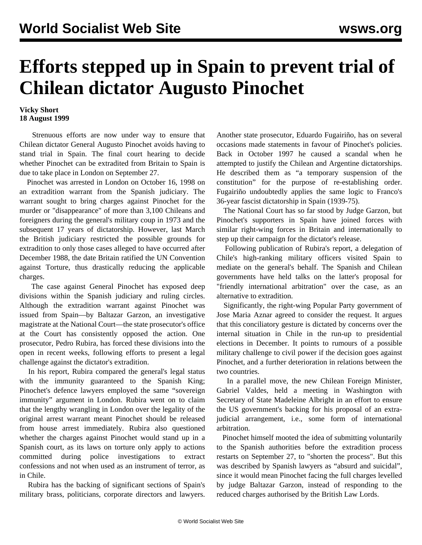## **Efforts stepped up in Spain to prevent trial of Chilean dictator Augusto Pinochet**

## **Vicky Short 18 August 1999**

 Strenuous efforts are now under way to ensure that Chilean dictator General Augusto Pinochet avoids having to stand trial in Spain. The final court hearing to decide whether Pinochet can be extradited from Britain to Spain is due to take place in London on September 27.

 Pinochet was arrested in London on October 16, 1998 on an extradition warrant from the Spanish judiciary. The warrant sought to bring charges against Pinochet for the murder or "disappearance" of more than 3,100 Chileans and foreigners during the general's military coup in 1973 and the subsequent 17 years of dictatorship. However, last March the British judiciary restricted the possible grounds for extradition to only those cases alleged to have occurred after December 1988, the date Britain ratified the UN Convention against Torture, thus drastically reducing the applicable charges.

 The case against General Pinochet has exposed deep divisions within the Spanish judiciary and ruling circles. Although the extradition warrant against Pinochet was issued from Spain—by Baltazar Garzon, an investigative magistrate at the National Court—the state prosecutor's office at the Court has consistently opposed the action. One prosecutor, Pedro Rubira, has forced these divisions into the open in recent weeks, following efforts to present a legal challenge against the dictator's extradition.

 In his report, Rubira compared the general's legal status with the immunity guaranteed to the Spanish King; Pinochet's defence lawyers employed the same "sovereign immunity" argument in London. Rubira went on to claim that the lengthy wrangling in London over the legality of the original arrest warrant meant Pinochet should be released from house arrest immediately. Rubira also questioned whether the charges against Pinochet would stand up in a Spanish court, as its laws on torture only apply to actions committed during police investigations to extract confessions and not when used as an instrument of terror, as in Chile.

 Rubira has the backing of significant sections of Spain's military brass, politicians, corporate directors and lawyers. Another state prosecutor, Eduardo Fugairiño, has on several occasions made statements in favour of Pinochet's policies. Back in October 1997 he caused a scandal when he attempted to justify the Chilean and Argentine dictatorships. He described them as "a temporary suspension of the constitution" for the purpose of re-establishing order. Fugairiño undoubtedly applies the same logic to Franco's 36-year fascist dictatorship in Spain (1939-75).

 The National Court has so far stood by Judge Garzon, but Pinochet's supporters in Spain have joined forces with similar right-wing forces in Britain and internationally to step up their campaign for the dictator's release.

 Following publication of Rubira's report, a delegation of Chile's high-ranking military officers visited Spain to mediate on the general's behalf. The Spanish and Chilean governments have held talks on the latter's proposal for "friendly international arbitration" over the case, as an alternative to extradition.

 Significantly, the right-wing Popular Party government of Jose Maria Aznar agreed to consider the request. It argues that this conciliatory gesture is dictated by concerns over the internal situation in Chile in the run-up to presidential elections in December. It points to rumours of a possible military challenge to civil power if the decision goes against Pinochet, and a further deterioration in relations between the two countries.

 In a parallel move, the new Chilean Foreign Minister, Gabriel Valdes, held a meeting in Washington with Secretary of State Madeleine Albright in an effort to ensure the US government's backing for his proposal of an extrajudicial arrangement, i.e., some form of international arbitration.

 Pinochet himself mooted the idea of submitting voluntarily to the Spanish authorities before the extradition process restarts on September 27, to "shorten the process". But this was described by Spanish lawyers as "absurd and suicidal", since it would mean Pinochet facing the full charges levelled by judge Baltazar Garzon, instead of responding to the reduced charges authorised by the British Law Lords.